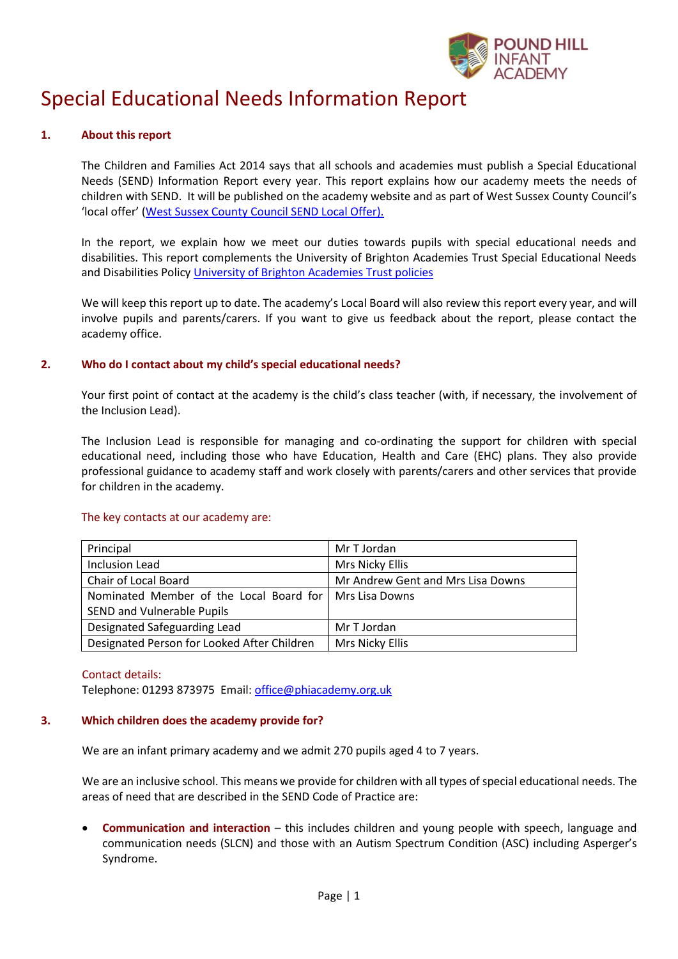

# Special Educational Needs Information Report

# **1. About this report**

The Children and Families Act 2014 says that all schools and academies must publish a Special Educational Needs (SEND) Information Report every year. This report explains how our academy meets the needs of children with SEND. It will be published on the academy website and as part of West Sussex County Council's 'local offer' ([West Sussex County Council SEND](https://www.westsussex.gov.uk/education-children-and-families/special-educational-needs-and-disability-send/send-local-offer/) Local Offer).

In the report, we explain how we meet our duties towards pupils with special educational needs and disabilities. This report complements the University of Brighton Academies Trust Special Educational Needs and Disabilities Policy [University of Brighton Academies Trust policies](https://www.brighton.ac.uk/academiestrust/how-we-work/our-policies/index.aspx)

We will keep this report up to date. The academy's Local Board will also review this report every year, and will involve pupils and parents/carers. If you want to give us feedback about the report, please contact the academy office.

# **2. Who do I contact about my child's special educational needs?**

Your first point of contact at the academy is the child's class teacher (with, if necessary, the involvement of the Inclusion Lead).

The Inclusion Lead is responsible for managing and co-ordinating the support for children with special educational need, including those who have Education, Health and Care (EHC) plans. They also provide professional guidance to academy staff and work closely with parents/carers and other services that provide for children in the academy.

| The key contacts at our academy are: |  |
|--------------------------------------|--|
|                                      |  |

| Principal                                                | Mr T Jordan                       |  |
|----------------------------------------------------------|-----------------------------------|--|
| <b>Inclusion Lead</b>                                    | Mrs Nicky Ellis                   |  |
| Chair of Local Board                                     | Mr Andrew Gent and Mrs Lisa Downs |  |
| Nominated Member of the Local Board for   Mrs Lisa Downs |                                   |  |
| SEND and Vulnerable Pupils                               |                                   |  |
| Designated Safeguarding Lead                             | Mr T Jordan                       |  |
| Designated Person for Looked After Children              | Mrs Nicky Ellis                   |  |

Contact details:

Telephone: 01293 873975 Email[: office@phiacademy.org.uk](mailto:office@phiacademy.org.uk)

# **3. Which children does the academy provide for?**

We are an infant primary academy and we admit 270 pupils aged 4 to 7 years.

We are an inclusive school. This means we provide for children with all types of special educational needs. The areas of need that are described in the SEND Code of Practice are:

 **Communication and interaction** – this includes children and young people with speech, language and communication needs (SLCN) and those with an Autism Spectrum Condition (ASC) including Asperger's Syndrome.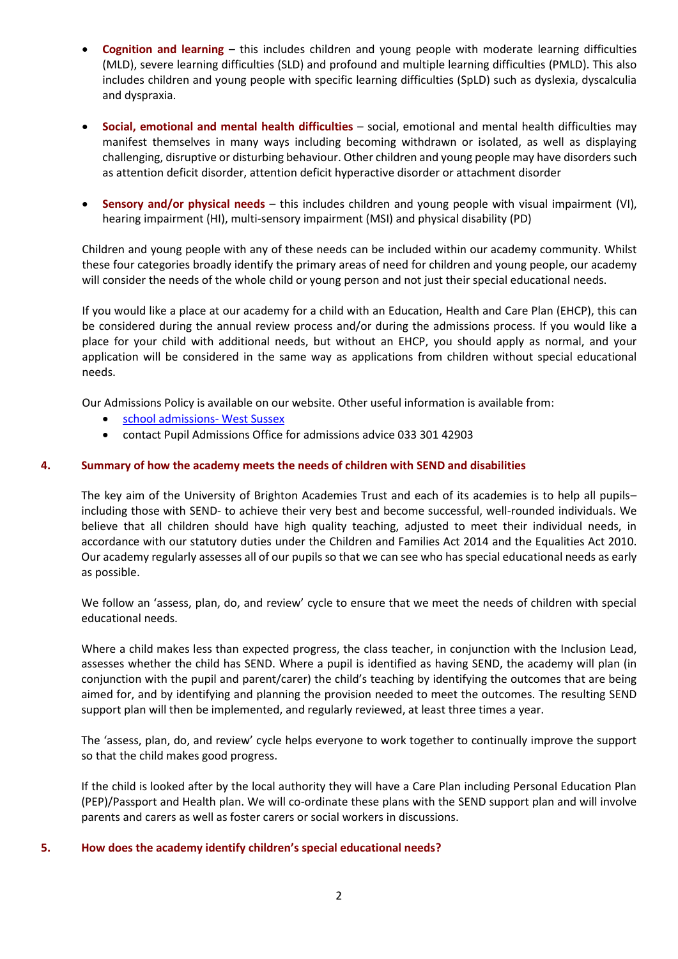- **Cognition and learning** this includes children and young people with moderate learning difficulties (MLD), severe learning difficulties (SLD) and profound and multiple learning difficulties (PMLD). This also includes children and young people with specific learning difficulties (SpLD) such as dyslexia, dyscalculia and dyspraxia.
- **Social, emotional and mental health difficulties** social, emotional and mental health difficulties may manifest themselves in many ways including becoming withdrawn or isolated, as well as displaying challenging, disruptive or disturbing behaviour. Other children and young people may have disorders such as attention deficit disorder, attention deficit hyperactive disorder or attachment disorder
- **Sensory and/or physical needs** this includes children and young people with visual impairment (VI), hearing impairment (HI), multi-sensory impairment (MSI) and physical disability (PD)

Children and young people with any of these needs can be included within our academy community. Whilst these four categories broadly identify the primary areas of need for children and young people, our academy will consider the needs of the whole child or young person and not just their special educational needs.

If you would like a place at our academy for a child with an Education, Health and Care Plan (EHCP), this can be considered during the annual review process and/or during the admissions process. If you would like a place for your child with additional needs, but without an EHCP, you should apply as normal, and your application will be considered in the same way as applications from children without special educational needs.

Our Admissions Policy is available on our website. Other useful information is available from:

- [school admissions-](https://www.westsussex.gov.uk/education-children-and-families/schools-and-colleges/school-places/) West Sussex
- contact Pupil Admissions Office for admissions advice 033 301 42903

### **4. Summary of how the academy meets the needs of children with SEND and disabilities**

The key aim of the University of Brighton Academies Trust and each of its academies is to help all pupils– including those with SEND- to achieve their very best and become successful, well-rounded individuals. We believe that all children should have high quality teaching, adjusted to meet their individual needs, in accordance with our statutory duties under the Children and Families Act 2014 and the Equalities Act 2010. Our academy regularly assesses all of our pupils so that we can see who has special educational needs as early as possible.

We follow an 'assess, plan, do, and review' cycle to ensure that we meet the needs of children with special educational needs.

Where a child makes less than expected progress, the class teacher, in conjunction with the Inclusion Lead, assesses whether the child has SEND. Where a pupil is identified as having SEND, the academy will plan (in conjunction with the pupil and parent/carer) the child's teaching by identifying the outcomes that are being aimed for, and by identifying and planning the provision needed to meet the outcomes. The resulting SEND support plan will then be implemented, and regularly reviewed, at least three times a year.

The 'assess, plan, do, and review' cycle helps everyone to work together to continually improve the support so that the child makes good progress.

If the child is looked after by the local authority they will have a Care Plan including Personal Education Plan (PEP)/Passport and Health plan. We will co-ordinate these plans with the SEND support plan and will involve parents and carers as well as foster carers or social workers in discussions.

#### **5. How does the academy identify children's special educational needs?**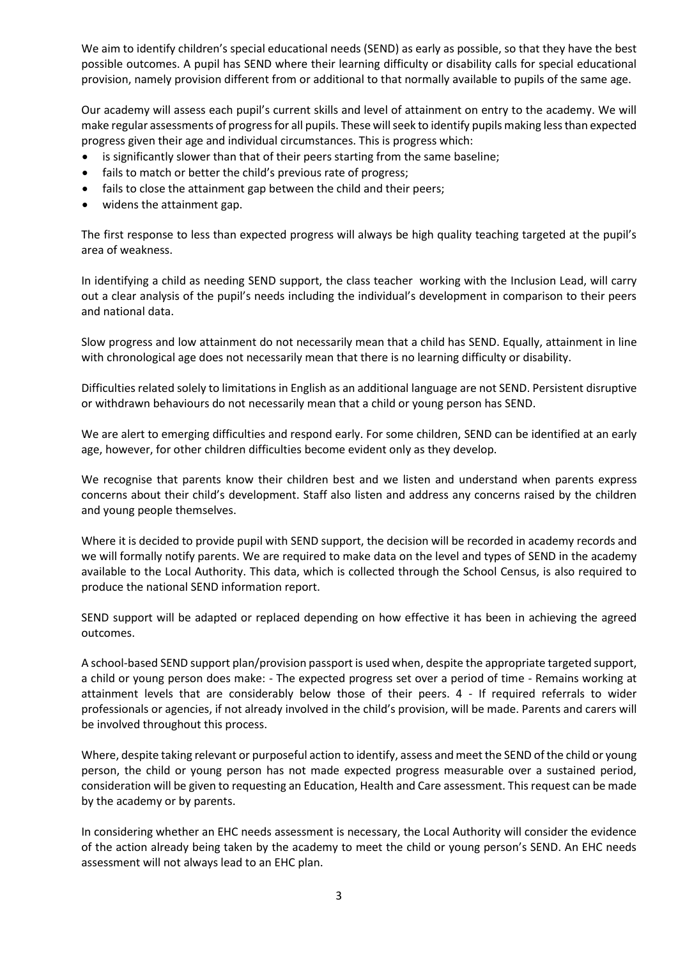We aim to identify children's special educational needs (SEND) as early as possible, so that they have the best possible outcomes. A pupil has SEND where their learning difficulty or disability calls for special educational provision, namely provision different from or additional to that normally available to pupils of the same age.

Our academy will assess each pupil's current skills and level of attainment on entry to the academy. We will make regular assessments of progress for all pupils. These will seek to identify pupils making less than expected progress given their age and individual circumstances. This is progress which:

- is significantly slower than that of their peers starting from the same baseline;
- fails to match or better the child's previous rate of progress;
- fails to close the attainment gap between the child and their peers;
- widens the attainment gap.

The first response to less than expected progress will always be high quality teaching targeted at the pupil's area of weakness.

In identifying a child as needing SEND support, the class teacher working with the Inclusion Lead, will carry out a clear analysis of the pupil's needs including the individual's development in comparison to their peers and national data.

Slow progress and low attainment do not necessarily mean that a child has SEND. Equally, attainment in line with chronological age does not necessarily mean that there is no learning difficulty or disability.

Difficulties related solely to limitations in English as an additional language are not SEND. Persistent disruptive or withdrawn behaviours do not necessarily mean that a child or young person has SEND.

We are alert to emerging difficulties and respond early. For some children, SEND can be identified at an early age, however, for other children difficulties become evident only as they develop.

We recognise that parents know their children best and we listen and understand when parents express concerns about their child's development. Staff also listen and address any concerns raised by the children and young people themselves.

Where it is decided to provide pupil with SEND support, the decision will be recorded in academy records and we will formally notify parents. We are required to make data on the level and types of SEND in the academy available to the Local Authority. This data, which is collected through the School Census, is also required to produce the national SEND information report.

SEND support will be adapted or replaced depending on how effective it has been in achieving the agreed outcomes.

A school-based SEND support plan/provision passport is used when, despite the appropriate targeted support, a child or young person does make: - The expected progress set over a period of time - Remains working at attainment levels that are considerably below those of their peers. 4 - If required referrals to wider professionals or agencies, if not already involved in the child's provision, will be made. Parents and carers will be involved throughout this process.

Where, despite taking relevant or purposeful action to identify, assess and meet the SEND of the child or young person, the child or young person has not made expected progress measurable over a sustained period, consideration will be given to requesting an Education, Health and Care assessment. This request can be made by the academy or by parents.

In considering whether an EHC needs assessment is necessary, the Local Authority will consider the evidence of the action already being taken by the academy to meet the child or young person's SEND. An EHC needs assessment will not always lead to an EHC plan.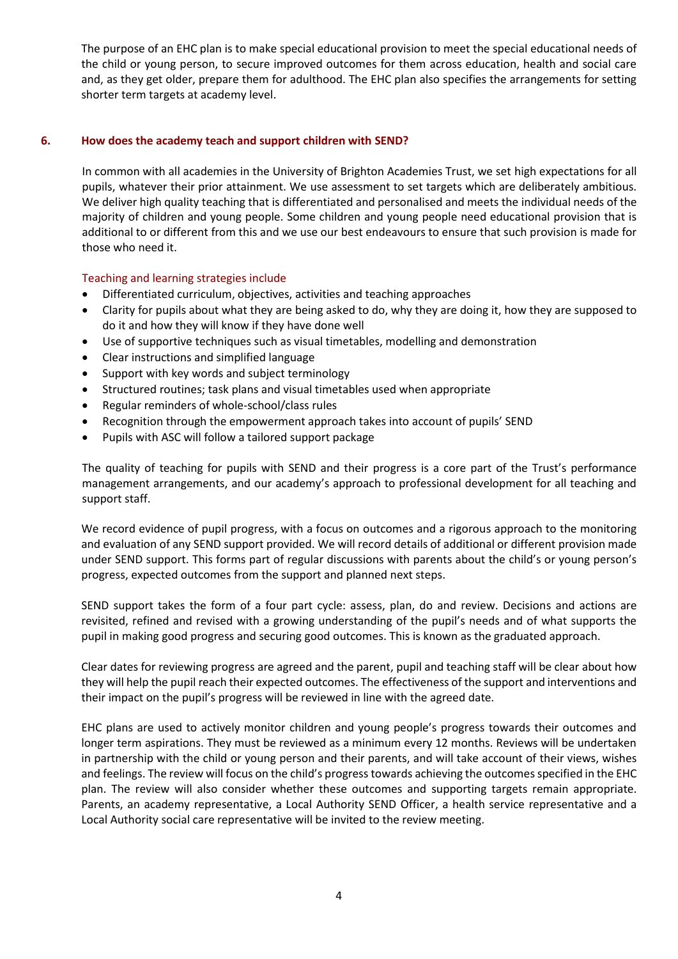The purpose of an EHC plan is to make special educational provision to meet the special educational needs of the child or young person, to secure improved outcomes for them across education, health and social care and, as they get older, prepare them for adulthood. The EHC plan also specifies the arrangements for setting shorter term targets at academy level.

# **6. How does the academy teach and support children with SEND?**

In common with all academies in the University of Brighton Academies Trust, we set high expectations for all pupils, whatever their prior attainment. We use assessment to set targets which are deliberately ambitious. We deliver high quality teaching that is differentiated and personalised and meets the individual needs of the majority of children and young people. Some children and young people need educational provision that is additional to or different from this and we use our best endeavours to ensure that such provision is made for those who need it.

# Teaching and learning strategies include

- Differentiated curriculum, objectives, activities and teaching approaches
- Clarity for pupils about what they are being asked to do, why they are doing it, how they are supposed to do it and how they will know if they have done well
- Use of supportive techniques such as visual timetables, modelling and demonstration
- Clear instructions and simplified language
- Support with key words and subject terminology
- Structured routines; task plans and visual timetables used when appropriate
- Regular reminders of whole-school/class rules
- Recognition through the empowerment approach takes into account of pupils' SEND
- Pupils with ASC will follow a tailored support package

The quality of teaching for pupils with SEND and their progress is a core part of the Trust's performance management arrangements, and our academy's approach to professional development for all teaching and support staff.

We record evidence of pupil progress, with a focus on outcomes and a rigorous approach to the monitoring and evaluation of any SEND support provided. We will record details of additional or different provision made under SEND support. This forms part of regular discussions with parents about the child's or young person's progress, expected outcomes from the support and planned next steps.

SEND support takes the form of a four part cycle: assess, plan, do and review. Decisions and actions are revisited, refined and revised with a growing understanding of the pupil's needs and of what supports the pupil in making good progress and securing good outcomes. This is known as the graduated approach.

Clear dates for reviewing progress are agreed and the parent, pupil and teaching staff will be clear about how they will help the pupil reach their expected outcomes. The effectiveness of the support and interventions and their impact on the pupil's progress will be reviewed in line with the agreed date.

EHC plans are used to actively monitor children and young people's progress towards their outcomes and longer term aspirations. They must be reviewed as a minimum every 12 months. Reviews will be undertaken in partnership with the child or young person and their parents, and will take account of their views, wishes and feelings. The review will focus on the child's progress towards achieving the outcomes specified in the EHC plan. The review will also consider whether these outcomes and supporting targets remain appropriate. Parents, an academy representative, a Local Authority SEND Officer, a health service representative and a Local Authority social care representative will be invited to the review meeting.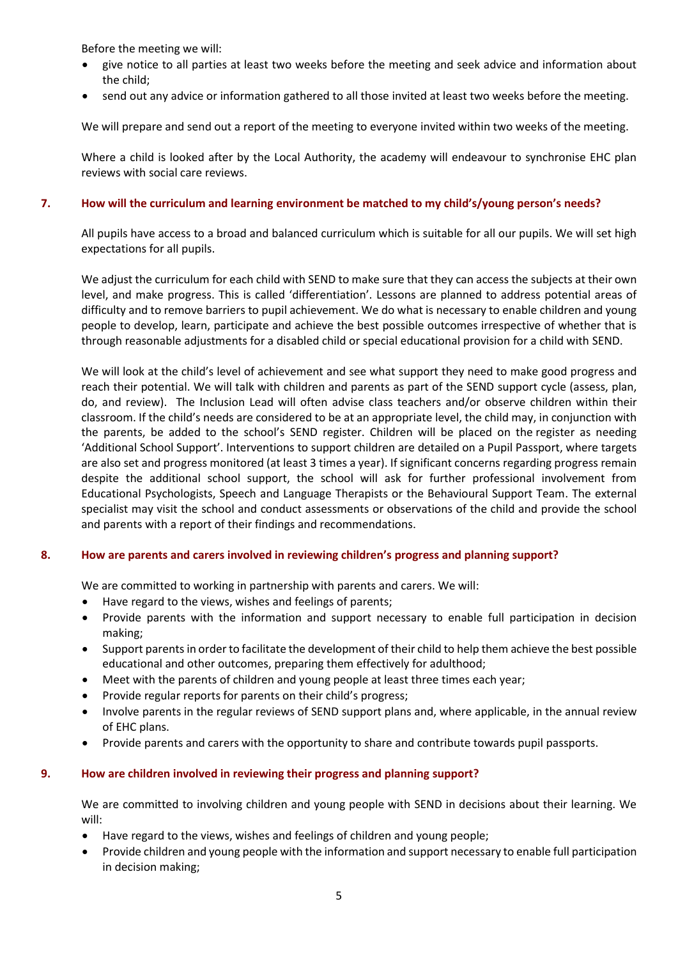Before the meeting we will:

- give notice to all parties at least two weeks before the meeting and seek advice and information about the child;
- send out any advice or information gathered to all those invited at least two weeks before the meeting.

We will prepare and send out a report of the meeting to everyone invited within two weeks of the meeting.

Where a child is looked after by the Local Authority, the academy will endeavour to synchronise EHC plan reviews with social care reviews.

# **7. How will the curriculum and learning environment be matched to my child's/young person's needs?**

All pupils have access to a broad and balanced curriculum which is suitable for all our pupils. We will set high expectations for all pupils.

We adjust the curriculum for each child with SEND to make sure that they can access the subjects at their own level, and make progress. This is called 'differentiation'. Lessons are planned to address potential areas of difficulty and to remove barriers to pupil achievement. We do what is necessary to enable children and young people to develop, learn, participate and achieve the best possible outcomes irrespective of whether that is through reasonable adjustments for a disabled child or special educational provision for a child with SEND.

We will look at the child's level of achievement and see what support they need to make good progress and reach their potential. We will talk with children and parents as part of the SEND support cycle (assess, plan, do, and review). The Inclusion Lead will often advise class teachers and/or observe children within their classroom. If the child's needs are considered to be at an appropriate level, the child may, in conjunction with the parents, be added to the school's SEND register. Children will be placed on the register as needing 'Additional School Support'. Interventions to support children are detailed on a Pupil Passport, where targets are also set and progress monitored (at least 3 times a year). If significant concerns regarding progress remain despite the additional school support, the school will ask for further professional involvement from Educational Psychologists, Speech and Language Therapists or the Behavioural Support Team. The external specialist may visit the school and conduct assessments or observations of the child and provide the school and parents with a report of their findings and recommendations.

# **8. How are parents and carers involved in reviewing children's progress and planning support?**

We are committed to working in partnership with parents and carers. We will:

- Have regard to the views, wishes and feelings of parents;
- Provide parents with the information and support necessary to enable full participation in decision making;
- Support parents in order to facilitate the development of their child to help them achieve the best possible educational and other outcomes, preparing them effectively for adulthood;
- Meet with the parents of children and young people at least three times each year;
- Provide regular reports for parents on their child's progress;
- Involve parents in the regular reviews of SEND support plans and, where applicable, in the annual review of EHC plans.
- Provide parents and carers with the opportunity to share and contribute towards pupil passports.

# **9. How are children involved in reviewing their progress and planning support?**

We are committed to involving children and young people with SEND in decisions about their learning. We will:

- Have regard to the views, wishes and feelings of children and young people;
- Provide children and young people with the information and support necessary to enable full participation in decision making;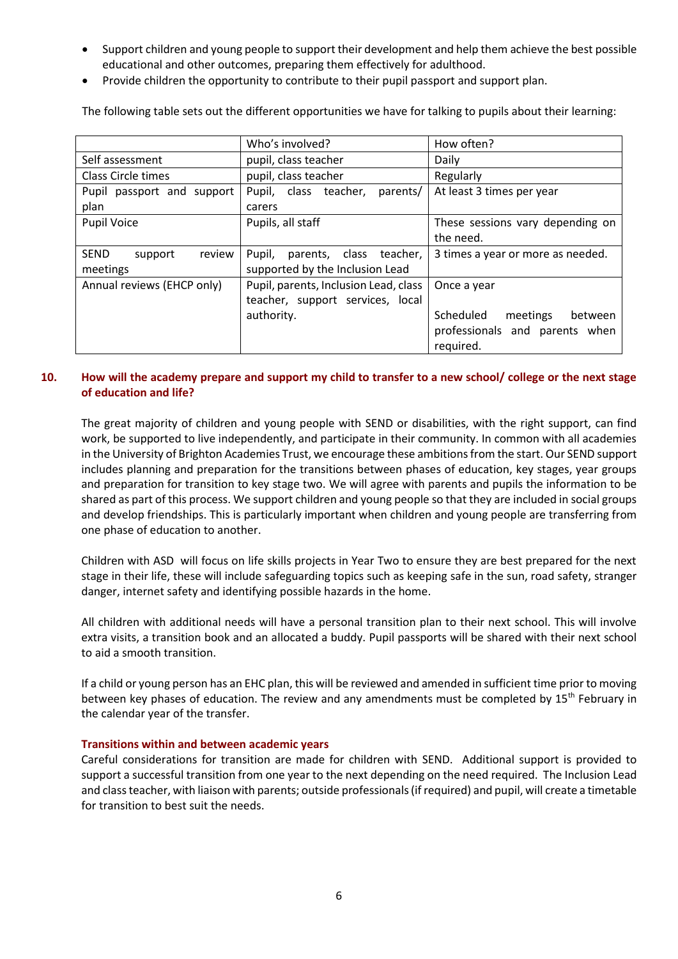- Support children and young people to support their development and help them achieve the best possible educational and other outcomes, preparing them effectively for adulthood.
- Provide children the opportunity to contribute to their pupil passport and support plan.

The following table sets out the different opportunities we have for talking to pupils about their learning:

|                                  | Who's involved?                       | How often?                        |
|----------------------------------|---------------------------------------|-----------------------------------|
| Self assessment                  | pupil, class teacher                  | Daily                             |
| Class Circle times               | pupil, class teacher                  | Regularly                         |
| Pupil passport and support       | Pupil, class teacher,<br>parents/     | At least 3 times per year         |
| plan                             | carers                                |                                   |
| <b>Pupil Voice</b>               | Pupils, all staff                     | These sessions vary depending on  |
|                                  |                                       | the need.                         |
| <b>SEND</b><br>review<br>support | parents, class<br>Pupil,<br>teacher,  | 3 times a year or more as needed. |
| meetings                         | supported by the Inclusion Lead       |                                   |
| Annual reviews (EHCP only)       | Pupil, parents, Inclusion Lead, class | Once a year                       |
|                                  | teacher, support services, local      |                                   |
|                                  | authority.                            | Scheduled<br>meetings<br>between  |
|                                  |                                       | professionals and parents when    |
|                                  |                                       | required.                         |

# **10. How will the academy prepare and support my child to transfer to a new school/ college or the next stage of education and life?**

The great majority of children and young people with SEND or disabilities, with the right support, can find work, be supported to live independently, and participate in their community. In common with all academies in the University of Brighton Academies Trust, we encourage these ambitions from the start. Our SEND support includes planning and preparation for the transitions between phases of education, key stages, year groups and preparation for transition to key stage two. We will agree with parents and pupils the information to be shared as part of this process. We support children and young people so that they are included in social groups and develop friendships. This is particularly important when children and young people are transferring from one phase of education to another.

Children with ASD will focus on life skills projects in Year Two to ensure they are best prepared for the next stage in their life, these will include safeguarding topics such as keeping safe in the sun, road safety, stranger danger, internet safety and identifying possible hazards in the home.

All children with additional needs will have a personal transition plan to their next school. This will involve extra visits, a transition book and an allocated a buddy. Pupil passports will be shared with their next school to aid a smooth transition.

If a child or young person has an EHC plan, this will be reviewed and amended in sufficient time prior to moving between key phases of education. The review and any amendments must be completed by 15<sup>th</sup> February in the calendar year of the transfer.

# **Transitions within and between academic years**

Careful considerations for transition are made for children with SEND. Additional support is provided to support a successful transition from one year to the next depending on the need required. The Inclusion Lead and class teacher, with liaison with parents; outside professionals (if required) and pupil, will create a timetable for transition to best suit the needs.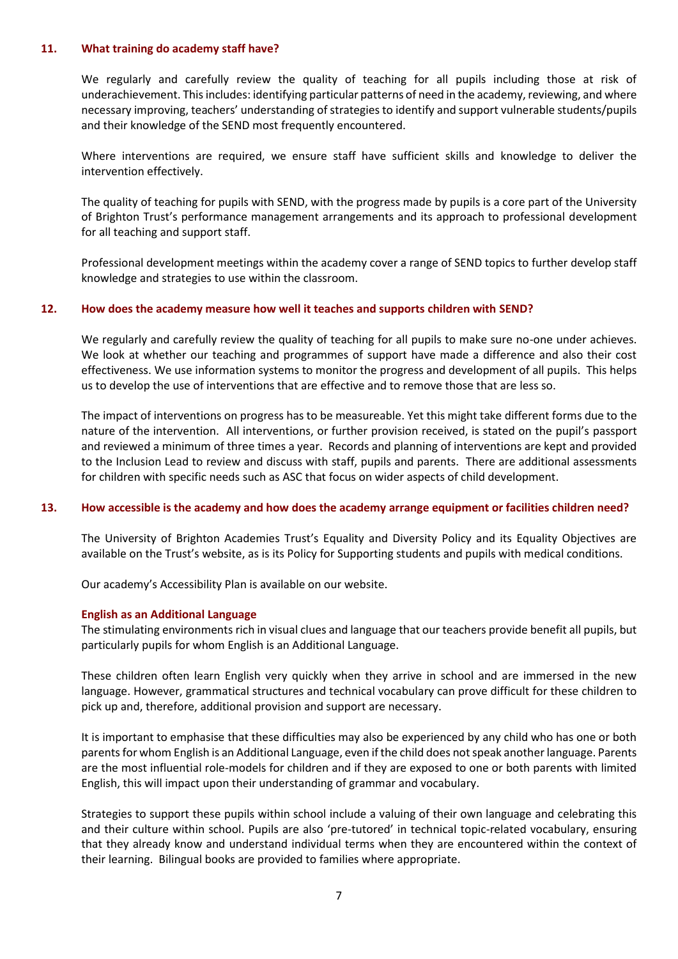#### **11. What training do academy staff have?**

We regularly and carefully review the quality of teaching for all pupils including those at risk of underachievement. This includes: identifying particular patterns of need in the academy, reviewing, and where necessary improving, teachers' understanding of strategies to identify and support vulnerable students/pupils and their knowledge of the SEND most frequently encountered.

Where interventions are required, we ensure staff have sufficient skills and knowledge to deliver the intervention effectively.

The quality of teaching for pupils with SEND, with the progress made by pupils is a core part of the University of Brighton Trust's performance management arrangements and its approach to professional development for all teaching and support staff.

Professional development meetings within the academy cover a range of SEND topics to further develop staff knowledge and strategies to use within the classroom.

## **12. How does the academy measure how well it teaches and supports children with SEND?**

We regularly and carefully review the quality of teaching for all pupils to make sure no-one under achieves. We look at whether our teaching and programmes of support have made a difference and also their cost effectiveness. We use information systems to monitor the progress and development of all pupils. This helps us to develop the use of interventions that are effective and to remove those that are less so.

The impact of interventions on progress has to be measureable. Yet this might take different forms due to the nature of the intervention. All interventions, or further provision received, is stated on the pupil's passport and reviewed a minimum of three times a year. Records and planning of interventions are kept and provided to the Inclusion Lead to review and discuss with staff, pupils and parents. There are additional assessments for children with specific needs such as ASC that focus on wider aspects of child development.

#### **13. How accessible is the academy and how does the academy arrange equipment or facilities children need?**

The University of Brighton Academies Trust's Equality and Diversity Policy and its Equality Objectives are available on the Trust's website, as is its Policy for Supporting students and pupils with medical conditions.

Our academy's Accessibility Plan is available on our website.

#### **English as an Additional Language**

The stimulating environments rich in visual clues and language that our teachers provide benefit all pupils, but particularly pupils for whom English is an Additional Language.

These children often learn English very quickly when they arrive in school and are immersed in the new language. However, grammatical structures and technical vocabulary can prove difficult for these children to pick up and, therefore, additional provision and support are necessary.

It is important to emphasise that these difficulties may also be experienced by any child who has one or both parents for whom English is an Additional Language, even if the child does not speak another language. Parents are the most influential role-models for children and if they are exposed to one or both parents with limited English, this will impact upon their understanding of grammar and vocabulary.

Strategies to support these pupils within school include a valuing of their own language and celebrating this and their culture within school. Pupils are also 'pre-tutored' in technical topic-related vocabulary, ensuring that they already know and understand individual terms when they are encountered within the context of their learning. Bilingual books are provided to families where appropriate.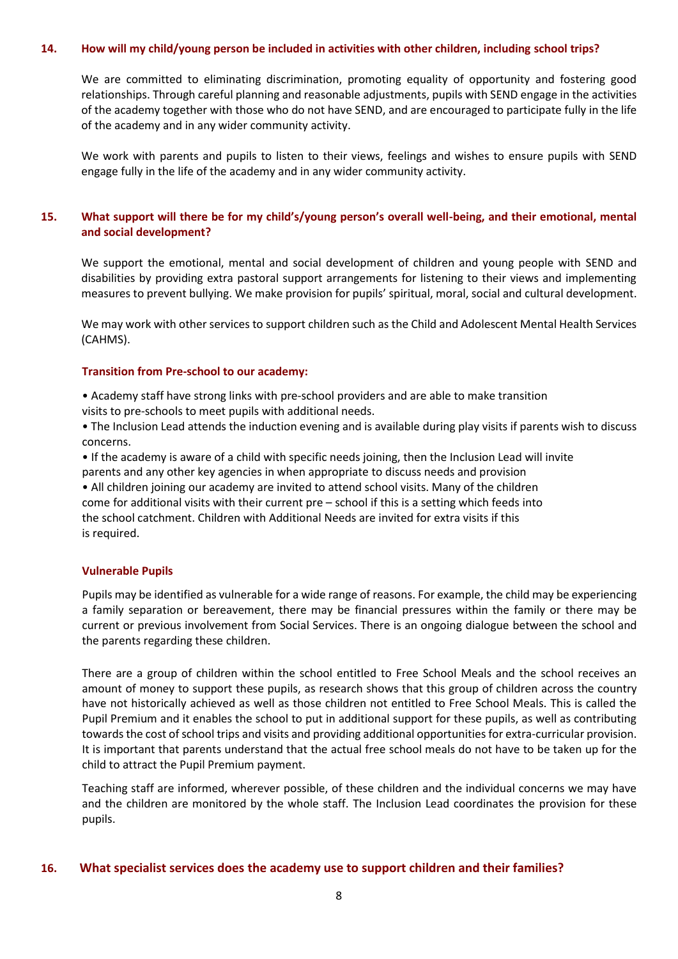### **14. How will my child/young person be included in activities with other children, including school trips?**

We are committed to eliminating discrimination, promoting equality of opportunity and fostering good relationships. Through careful planning and reasonable adjustments, pupils with SEND engage in the activities of the academy together with those who do not have SEND, and are encouraged to participate fully in the life of the academy and in any wider community activity.

We work with parents and pupils to listen to their views, feelings and wishes to ensure pupils with SEND engage fully in the life of the academy and in any wider community activity.

# **15. What support will there be for my child's/young person's overall well-being, and their emotional, mental and social development?**

We support the emotional, mental and social development of children and young people with SEND and disabilities by providing extra pastoral support arrangements for listening to their views and implementing measures to prevent bullying. We make provision for pupils' spiritual, moral, social and cultural development.

We may work with other services to support children such as the Child and Adolescent Mental Health Services (CAHMS).

#### **Transition from Pre-school to our academy:**

• Academy staff have strong links with pre-school providers and are able to make transition visits to pre-schools to meet pupils with additional needs.

• The Inclusion Lead attends the induction evening and is available during play visits if parents wish to discuss concerns.

• If the academy is aware of a child with specific needs joining, then the Inclusion Lead will invite parents and any other key agencies in when appropriate to discuss needs and provision

• All children joining our academy are invited to attend school visits. Many of the children come for additional visits with their current pre – school if this is a setting which feeds into the school catchment. Children with Additional Needs are invited for extra visits if this is required.

#### **Vulnerable Pupils**

Pupils may be identified as vulnerable for a wide range of reasons. For example, the child may be experiencing a family separation or bereavement, there may be financial pressures within the family or there may be current or previous involvement from Social Services. There is an ongoing dialogue between the school and the parents regarding these children.

There are a group of children within the school entitled to Free School Meals and the school receives an amount of money to support these pupils, as research shows that this group of children across the country have not historically achieved as well as those children not entitled to Free School Meals. This is called the Pupil Premium and it enables the school to put in additional support for these pupils, as well as contributing towards the cost of school trips and visits and providing additional opportunities for extra-curricular provision. It is important that parents understand that the actual free school meals do not have to be taken up for the child to attract the Pupil Premium payment.

Teaching staff are informed, wherever possible, of these children and the individual concerns we may have and the children are monitored by the whole staff. The Inclusion Lead coordinates the provision for these pupils.

# **16. What specialist services does the academy use to support children and their families?**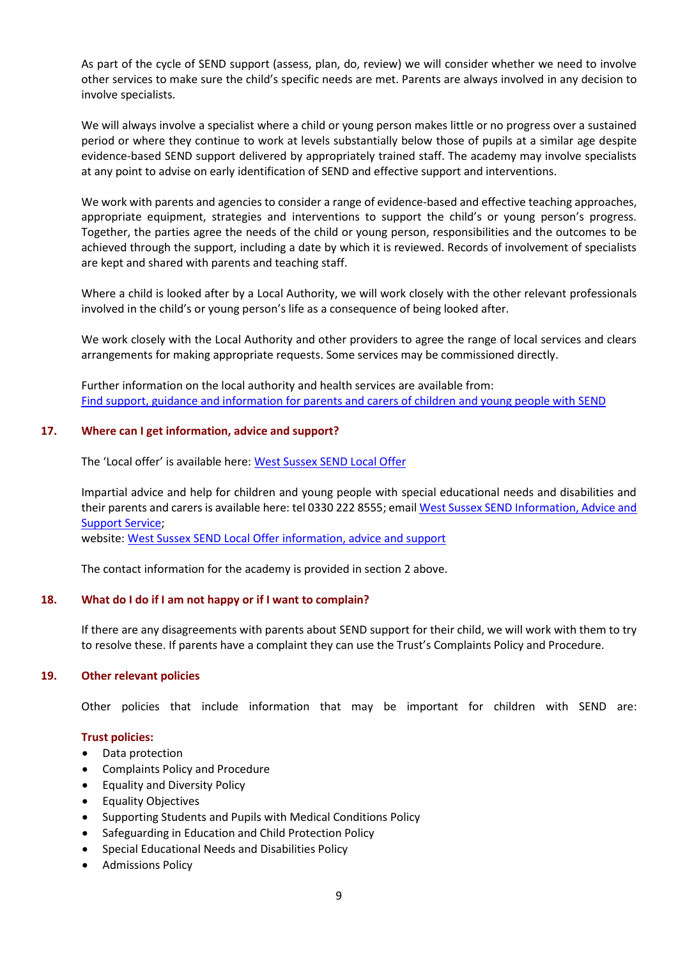As part of the cycle of SEND support (assess, plan, do, review) we will consider whether we need to involve other services to make sure the child's specific needs are met. Parents are always involved in any decision to involve specialists.

We will always involve a specialist where a child or young person makes little or no progress over a sustained period or where they continue to work at levels substantially below those of pupils at a similar age despite evidence-based SEND support delivered by appropriately trained staff. The academy may involve specialists at any point to advise on early identification of SEND and effective support and interventions.

We work with parents and agencies to consider a range of evidence-based and effective teaching approaches, appropriate equipment, strategies and interventions to support the child's or young person's progress. Together, the parties agree the needs of the child or young person, responsibilities and the outcomes to be achieved through the support, including a date by which it is reviewed. Records of involvement of specialists are kept and shared with parents and teaching staff.

Where a child is looked after by a Local Authority, we will work closely with the other relevant professionals involved in the child's or young person's life as a consequence of being looked after.

We work closely with the Local Authority and other providers to agree the range of local services and clears arrangements for making appropriate requests. Some services may be commissioned directly.

Further information on the local authority and health services are available from: [Find support, guidance and information for parents and carers of children and young people with SEND](https://www.westsussex.gov.uk/education-children-and-families/special-educational-needs-and-disability-send/)

# **17. Where can I get information, advice and support?**

The 'Local offer' is available here: [West Sussex SEND](https://www.westsussex.gov.uk/education-children-and-families/special-educational-needs-and-disability-send/send-local-offer/) Local Offer

Impartial advice and help for children and young people with special educational needs and disabilities and their parents and carers is available here: tel 0330 222 8555; email West Sussex SEND [Information, Advice and](mailto:cyp.sendias@westsussex.gov.uk)  [Support Service;](mailto:cyp.sendias@westsussex.gov.uk)

website: West Sussex SEND [Local Offer information, advice and support](https://westsussex.local-offer.org/information/2-information-advice-and-support)

The contact information for the academy is provided in section 2 above.

# **18. What do I do if I am not happy or if I want to complain?**

If there are any disagreements with parents about SEND support for their child, we will work with them to try to resolve these. If parents have a complaint they can use the Trust's Complaints Policy and Procedure.

#### **19. Other relevant policies**

Other policies that include information that may be important for children with SEND are:

#### **Trust policies:**

- Data protection
- Complaints Policy and Procedure
- Equality and Diversity Policy
- Equality Objectives
- Supporting Students and Pupils with Medical Conditions Policy
- Safeguarding in Education and Child Protection Policy
- Special Educational Needs and Disabilities Policy
- Admissions Policy